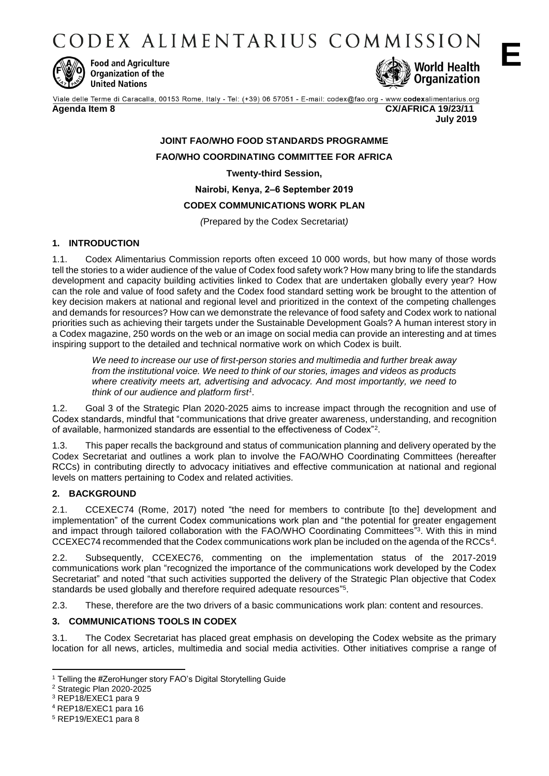CODEX ALIMENTARIUS COMMISSION



**Food and Agriculture Organization of the United Nations** 



Viale delle Terme di Caracalla, 00153 Rome, Italy - Tel: (+39) 06 57051 - E-mail: codex@fao.org - www.codexalimentarius.org

**Agenda Item 8 CX/AFRICA 19/23/11 July 2019**

# **JOINT FAO/WHO FOOD STANDARDS PROGRAMME FAO/WHO COORDINATING COMMITTEE FOR AFRICA Twenty-third Session, Nairobi, Kenya, 2‒6 September 2019 CODEX COMMUNICATIONS WORK PLAN**

*(*Prepared by the Codex Secretariat*)*

# **1. INTRODUCTION**

1.1. Codex Alimentarius Commission reports often exceed 10 000 words, but how many of those words tell the stories to a wider audience of the value of Codex food safety work? How many bring to life the standards development and capacity building activities linked to Codex that are undertaken globally every year? How can the role and value of food safety and the Codex food standard setting work be brought to the attention of key decision makers at national and regional level and prioritized in the context of the competing challenges and demands for resources? How can we demonstrate the relevance of food safety and Codex work to national priorities such as achieving their targets under the Sustainable Development Goals? A human interest story in a Codex magazine, 250 words on the web or an image on social media can provide an interesting and at times inspiring support to the detailed and technical normative work on which Codex is built.

*We need to increase our use of first-person stories and multimedia and further break away from the institutional voice. We need to think of our stories, images and videos as products where creativity meets art, advertising and advocacy. And most importantly, we need to think of our audience and platform first<sup>1</sup> .*

1.2. Goal 3 of the Strategic Plan 2020-2025 aims to increase impact through the recognition and use of Codex standards, mindful that "communications that drive greater awareness, understanding, and recognition of available, harmonized standards are essential to the effectiveness of Codex"<sup>2</sup> .

1.3. This paper recalls the background and status of communication planning and delivery operated by the Codex Secretariat and outlines a work plan to involve the FAO/WHO Coordinating Committees (hereafter RCCs) in contributing directly to advocacy initiatives and effective communication at national and regional levels on matters pertaining to Codex and related activities.

# **2. BACKGROUND**

2.1. CCEXEC74 (Rome, 2017) noted "the need for members to contribute [to the] development and implementation" of the current Codex communications work plan and "the potential for greater engagement and impact through tailored collaboration with the FAO/WHO Coordinating Committees"<sup>3</sup>. With this in mind CCEXEC74 recommended that the Codex communications work plan be included on the agenda of the RCCs<sup>4</sup> .

2.2. Subsequently, CCEXEC76, commenting on the implementation status of the 2017-2019 communications work plan "recognized the importance of the communications work developed by the Codex Secretariat" and noted "that such activities supported the delivery of the Strategic Plan objective that Codex standards be used globally and therefore required adequate resources"<sup>5</sup>.

2.3. These, therefore are the two drivers of a basic communications work plan: content and resources.

# **3. COMMUNICATIONS TOOLS IN CODEX**

3.1. The Codex Secretariat has placed great emphasis on developing the Codex website as the primary location for all news, articles, multimedia and social media activities. Other initiatives comprise a range of

<sup>1</sup> <sup>1</sup> Telling the #ZeroHunger story FAO's Digital Storytelling Guide

<sup>2</sup> Strategic Plan 2020-2025

<sup>3</sup> REP18/EXEC1 para 9

<sup>4</sup> REP18/EXEC1 para 16

<sup>5</sup> REP19/EXEC1 para 8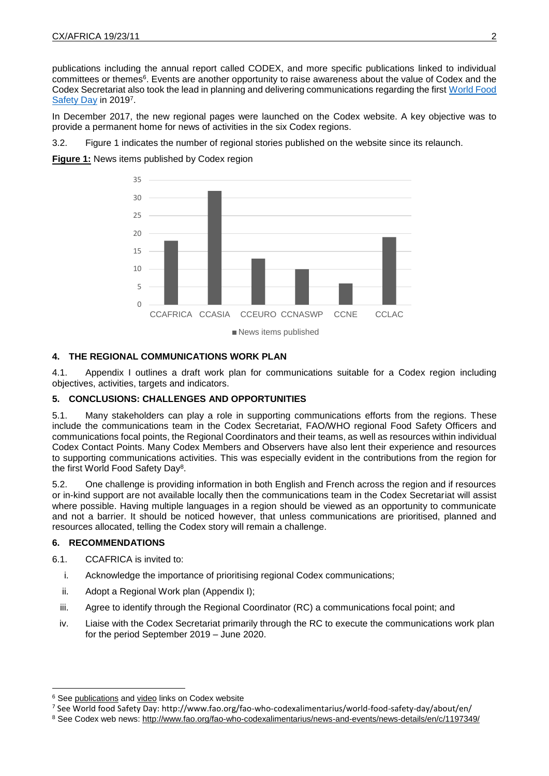publications including the annual report called CODEX, and more specific publications linked to individual committees or themes<sup>6</sup>. Events are another opportunity to raise awareness about the value of Codex and the Codex Secretariat also took the lead in planning and delivering communications regarding the first [World Food](http://www.fao.org/fao-who-codexalimentarius/world-food-safety-day/about/en/)  [Safety Day](http://www.fao.org/fao-who-codexalimentarius/world-food-safety-day/about/en/) in 20197.

In December 2017, the new regional pages were launched on the Codex website. A key objective was to provide a permanent home for news of activities in the six Codex regions.

3.2. Figure 1 indicates the number of regional stories published on the website since its relaunch.

**Figure 1:** News items published by Codex region



#### News items published

### **4. THE REGIONAL COMMUNICATIONS WORK PLAN**

4.1. Appendix I outlines a draft work plan for communications suitable for a Codex region including objectives, activities, targets and indicators.

### **5. CONCLUSIONS: CHALLENGES AND OPPORTUNITIES**

5.1. Many stakeholders can play a role in supporting communications efforts from the regions. These include the communications team in the Codex Secretariat, FAO/WHO regional Food Safety Officers and communications focal points, the Regional Coordinators and their teams, as well as resources within individual Codex Contact Points. Many Codex Members and Observers have also lent their experience and resources to supporting communications activities. This was especially evident in the contributions from the region for the first World Food Safety Day<sup>8</sup>.

5.2. One challenge is providing information in both English and French across the region and if resources or in-kind support are not available locally then the communications team in the Codex Secretariat will assist where possible. Having multiple languages in a region should be viewed as an opportunity to communicate and not a barrier. It should be noticed however, that unless communications are prioritised, planned and resources allocated, telling the Codex story will remain a challenge.

### **6. RECOMMENDATIONS**

1

- 6.1. CCAFRICA is invited to:
	- i. Acknowledge the importance of prioritising regional Codex communications;
	- ii. Adopt a Regional Work plan (Appendix I);
	- iii. Agree to identify through the Regional Coordinator (RC) a communications focal point; and
	- iv. Liaise with the Codex Secretariat primarily through the RC to execute the communications work plan for the period September 2019 – June 2020.

<sup>&</sup>lt;sup>6</sup> See [publications](http://www.fao.org/fao-who-codexalimentarius/publications/en/) an[d video](http://www.fao.org/fao-who-codexalimentarius/resources/multimedia/video-audio/en/) links on Codex website

<sup>7</sup> See World food Safety Day: http://www.fao.org/fao-who-codexalimentarius/world-food-safety-day/about/en/

<sup>8</sup> See Codex web news:<http://www.fao.org/fao-who-codexalimentarius/news-and-events/news-details/en/c/1197349/>